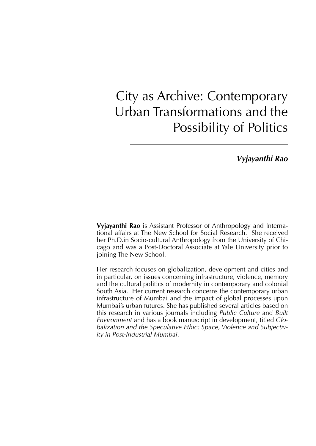# City as Archive: Contemporary Urban Transformations and the Possibility of Politics

# *Vyjayanthi Rao*

**Vyjayanthi Rao** is Assistant Professor of Anthropology and International affairs at The New School for Social Research. She received her Ph.D.in Socio-cultural Anthropology from the University of Chicago and was a Post-Doctoral Associate at Yale University prior to joining The New School.

Her research focuses on globalization, development and cities and in particular, on issues concerning infrastructure, violence, memory and the cultural politics of modernity in contemporary and colonial South Asia. Her current research concerns the contemporary urban infrastructure of Mumbai and the impact of global processes upon Mumbai's urban futures. She has published several articles based on this research in various journals including *Public Culture* and *Built Environment* and has a book manuscript in development, titled *Globalization and the Speculative Ethic: Space, Violence and Subjectivity in Post-Industrial Mumbai*.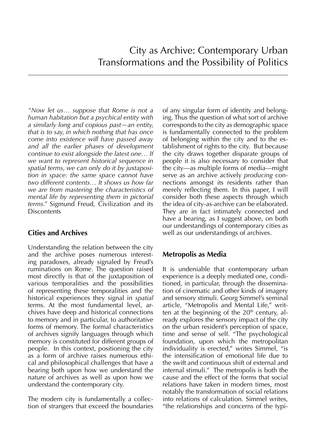*"Now let us… suppose that Rome is not a human habitation but a psychical entity with a similarly long and copious past—an entity, that is to say, in which nothing that has once come into existence will have passed away and all the earlier phases of development continue to exist alongside the latest one… If we want to represent historical sequence in spatial terms, we can only do it by juxtaposition in space: the same space cannot have two different contents… It shows us how far we are from mastering the characteristics of mental life by representing them in pictorial terms."* Sigmund Freud, Civilization and its **Discontents** 

## **Cities and Archives**

Understanding the relation between the city and the archive poses numerous interesting paradoxes, already signaled by Freud's ruminations on Rome. The question raised most directly is that of the juxtaposition of various temporalities and the possibilities of representing these temporalities and the historical experiences they signal in *spatial*  terms. At the most fundamental level, archives have deep and historical connections to memory and in particular, to authoritative forms of memory. The formal characteristics of archives signify languages through which memory is constituted for different groups of people. In this context, positioning the city as a form of archive raises numerous ethical and philosophical challenges that have a bearing both upon how we understand the nature of archives as well as upon how we understand the contemporary city.

The modern city is fundamentally a collection of strangers that exceed the boundaries of any singular form of identity and belonging. Thus the question of what sort of archive corresponds to the city as demographic space is fundamentally connected to the problem of belonging within the city and to the establishment of rights to the city. But because the city draws together disparate groups of people it is also necessary to consider that the city—as multiple forms of media—might serve as an archive actively *producing* connections amongst its residents rather than merely reflecting them. In this paper, I will consider both these aspects through which the idea of city-as-archive can be elaborated. They are in fact intimately connected and have a bearing, as I suggest above, on both our understandings of contemporary cities as well as our understandings of archives.

## **Metropolis as Media**

It is undeniable that contemporary urban experience is a deeply mediated one, conditioned, in particular, through the dissemination of cinematic and other kinds of imagery and sensory stimuli. Georg Simmel's seminal article, "Metropolis and Mental Life," written at the beginning of the  $20<sup>th</sup>$  century, already explores the sensory impact of the city on the urban resident's perception of space, time and sense of self. "The psychological foundation, upon which the metropolitan individuality is erected," writes Simmel, "is the intensification of emotional life due to the swift and continuous shift of external and internal stimuli." The metropolis is both the cause and the effect of the forms that social relations have taken in modern times, most notably the transformation of social relations into relations of calculation. Simmel writes, "the relationships and concerns of the typi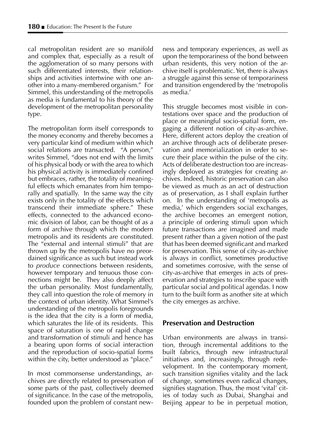cal metropolitan resident are so manifold and complex that, especially as a result of the agglomeration of so many persons with such differentiated interests, their relationships and activities intertwine with one another into a many-membered organism." For Simmel, this understanding of the metropolis as media is fundamental to his theory of the development of the metropolitan personality type.

The metropolitan form itself corresponds to the money economy and thereby becomes a very particular kind of medium within which social relations are transacted. "A person," writes Simmel, "does not end with the limits of his physical body or with the area to which his physical activity is immediately confined but embraces, rather, the totality of meaningful effects which emanates from him temporally and spatially. In the same way the city exists only in the totality of the effects which transcend their immediate sphere." These effects, connected to the advanced economic division of labor, can be thought of as a form of archive through which the modern metropolis and its residents are constituted. The "external and internal stimuli" that are thrown up by the metropolis have no preordained significance as such but instead work to *produce* connections between residents, however temporary and tenuous those connections might be. They also deeply affect the urban personality. Most fundamentally, they call into question the role of memory in the context of urban identity. What Simmel's understanding of the metropolis foregrounds is the idea that the city is a form of media, which saturates the life of its residents. This space of saturation is one of rapid change and transformation of stimuli and hence has a bearing upon forms of social interaction and the reproduction of socio-spatial forms within the city, better understood as "place."

In most commonsense understandings, archives are directly related to preservation of some parts of the past, collectively deemed of significance. In the case of the metropolis, founded upon the problem of constant newness and temporary experiences, as well as upon the temporariness of the bond between urban residents, this very notion of the archive itself is problematic. Yet, there is always a struggle against this sense of temporariness and transition engendered by the 'metropolis as media.'

This struggle becomes most visible in contestations over space and the production of place or meaningful socio-spatial form, engaging a different notion of city-as-archive. Here, different actors deploy the creation of an archive through acts of deliberate preservation and memorialization in order to secure their place within the pulse of the city. Acts of deliberate destruction too are increasingly deployed as strategies for creating archives. Indeed, historic preservation can also be viewed as much as an act of destruction as of preservation, as I shall explain further on. In the understanding of 'metropolis as media,' which engenders social exchanges, the archive becomes an emergent notion, a principle of ordering stimuli upon which future transactions are imagined and made present rather than a given notion of the past that has been deemed significant and marked for preservation. This sense of city-as-archive is always in conflict, sometimes productive and sometimes corrosive, with the sense of city-as-archive that emerges in acts of preservation and strategies to inscribe space with particular social and political agendas. I now turn to the built form as another site at which the city emerges as archive.

## **Preservation and Destruction**

Urban environments are always in transition, through incremental additions to the built fabrics, through new infrastructural initiatives and, increasingly, through redevelopment. In the contemporary moment, such transition signifies vitality and the lack of change, sometimes even radical changes, signifies stagnation. Thus, the most 'vital' cities of today such as Dubai, Shanghai and Beijing appear to be in perpetual motion,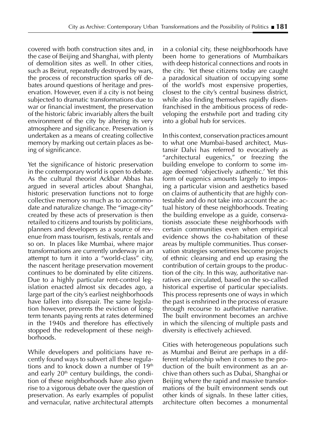covered with both construction sites and, in the case of Beijing and Shanghai, with plenty of demolition sites as well. In other cities, such as Beirut, repeatedly destroyed by wars, the process of reconstruction sparks off debates around questions of heritage and preservation. However, even if a city is not being subjected to dramatic transformations due to war or financial investment, the preservation of the historic fabric invariably alters the built environment of the city by altering its very atmosphere and significance. Preservation is undertaken as a means of creating collective memory by marking out certain places as being of significance.

Yet the significance of historic preservation in the contemporary world is open to debate. As the cultural theorist Ackbar Abbas has argued in several articles about Shanghai, historic preservation functions not to forge collective memory so much as to accommodate and naturalize change. The "image-city" created by these acts of preservation is then retailed to citizens and tourists by politicians, planners and developers as a source of revenue from mass tourism, festivals, rentals and so on. In places like Mumbai, where major transformations are currently underway in an attempt to turn it into a "world-class" city, the nascent heritage preservation movement continues to be dominated by elite citizens. Due to a highly particular rent-control legislation enacted almost six decades ago, a large part of the city's earliest neighborhoods have fallen into disrepair. The same legislation however, prevents the eviction of longterm tenants paying rents at rates determined in the 1940s and therefore has effectively stopped the redevelopment of these neighborhoods.

While developers and politicians have recently found ways to subvert all these regulations and to knock down a number of  $19<sup>th</sup>$ and early  $20<sup>th</sup>$  century buildings, the condition of these neighborhoods have also given rise to a vigorous debate over the question of preservation. As early examples of populist and vernacular, native architectural attempts

in a colonial city, these neighborhoods have been home to generations of Mumbaikars with deep historical connections and roots in the city. Yet these citizens today are caught a paradoxical situation of occupying some of the world's most expensive properties, closest to the city's central business district, while also finding themselves rapidly disenfranchised in the ambitious process of redeveloping the erstwhile port and trading city into a global hub for services.

In this context, conservation practices amount to what one Mumbai-based architect, Mustansir Dalvi has referred to evocatively as "architectural eugenics," or freezing the building envelope to conform to some image deemed 'objectively authentic.' Yet this form of eugenics amounts largely to imposing a particular vision and aesthetics based on claims of authenticity that are highly contestable and do not take into account the actual history of these neighborhoods. Treating the building envelope as a guide, conservationists associate these neighborhoods with certain communities even when empirical evidence shows the co-habitation of these areas by multiple communities. Thus conservation strategies sometimes become projects of ethnic cleansing and end up erasing the contribution of certain groups to the production of the city. In this way, authoritative narratives are circulated, based on the so-called historical expertise of particular specialists. This process represents one of ways in which the past is enshrined in the process of erasure through recourse to authoritative narrative. The built environment becomes an archive in which the silencing of multiple pasts and diversity is effectively achieved.

Cities with heterogeneous populations such as Mumbai and Beirut are perhaps in a different relationship when it comes to the production of the built environment as an archive than others such as Dubai, Shanghai or Beijing where the rapid and massive transformations of the built environment sends out other kinds of signals. In these latter cities, architecture often becomes a monumental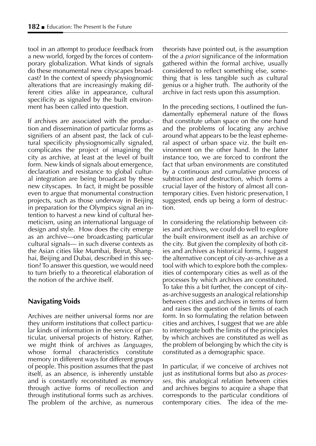tool in an attempt to produce feedback from a new world, forged by the forces of contemporary globalization. What kinds of signals do these monumental new cityscapes broadcast? In the context of speedy physiognomic alterations that are increasingly making different cities alike in appearance, cultural specificity as signaled by the built environment has been called into question.

If archives are associated with the production and dissemination of particular forms as signifiers of an absent past, the lack of cultural specificity physiognomically signaled, complicates the project of imagining the city as archive, at least at the level of built form. New kinds of signals about emergence, declaration and resistance to global cultural integration are being broadcast by these new cityscapes. In fact, it might be possible even to argue that monumental construction projects, such as those underway in Beijing in preparation for the Olympics signal an intention to harvest a new kind of cultural hermeticism, using an international language of design and style. How does the city emerge as an archive—one broadcasting particular cultural signals— in such diverse contexts as the Asian cities like Mumbai, Beirut, Shanghai, Beijing and Dubai, described in this section? To answer this question, we would need to turn briefly to a theoretical elaboration of the notion of the archive itself.

## **Navigating Voids**

Archives are neither universal forms nor are they uniform institutions that collect particular kinds of information in the service of particular, universal projects of history. Rather, we might think of archives as *languages*, whose formal characteristics constitute memory in different ways for different groups of people. This position assumes that the past itself, as an absence, is inherently unstable and is constantly reconstituted as memory through active forms of recollection and through institutional forms such as archives. The problem of the archive, as numerous theorists have pointed out, is the assumption of the *a priori* significance of the information gathered within the formal archive, usually considered to reflect something else, something that is less tangible such as cultural genius or a higher truth. The authority of the archive in fact rests upon this assumption.

In the preceding sections, I outlined the fundamentally ephemeral nature of the flows that constitute urban space on the one hand and the problems of locating any archive around what appears to be the least ephemeral aspect of urban space viz. the built environment on the other hand. In the latter instance too, we are forced to confront the fact that urban environments are constituted by a continuous and cumulative process of subtraction and destruction, which forms a crucial layer of the history of almost all contemporary cities. Even historic preservation, I suggested, ends up being a form of destruction.

In considering the relationship between cities and archives, we could do well to explore the built environment itself as an archive *of*  the city. But given the complexity of both cities and archives as historical forms, I suggest the alternative concept of city-*as*-archive as a tool with which to explore both the complexities of contemporary cities as well as of the processes by which archives are constituted. To take this a bit further, the concept of cityas-archive suggests an analogical relationship between cities and archives in terms of form and raises the question of the limits of each form. In so formulating the relation between cities and archives, I suggest that we are able to interrogate both the limits of the principles by which archives are constituted as well as the problem of belonging by which the city is constituted as a demographic space.

In particular, if we conceive of archives not just as institutional forms but also as *processes*, this analogical relation between cities and archives begins to acquire a shape that corresponds to the particular conditions of contemporary cities. The idea of the me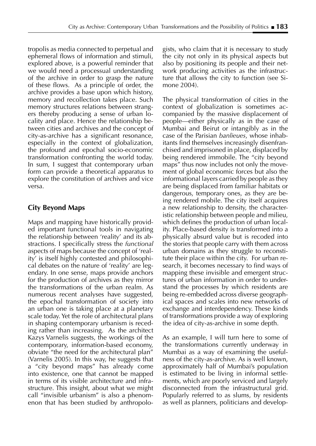tropolis as media connected to perpetual and ephemeral flows of information and stimuli, explored above, is a powerful reminder that we would need a processual understanding of the archive in order to grasp the nature of these flows. As a principle of order, the archive provides a base upon which history, memory and recollection takes place. Such memory structures relations between strangers thereby producing a sense of urban locality and place. Hence the relationship between cities and archives and the concept of city-as-archive has a significant resonance, especially in the context of globalization, the profound and epochal socio-economic transformation confronting the world today. In sum, I suggest that contemporary urban form can provide a theoretical apparatus to explore the constitution of archives and vice versa.

# **City Beyond Maps**

Maps and mapping have historically provided important functional tools in navigating the relationship between 'reality' and its abstractions. I specifically stress the *functional*  aspects of maps because the concept of 'reality' is itself highly contested and philosophical debates on the nature of 'reality' are legendary. In one sense, maps provide anchors for the production of archives as they mirror the transformations of the urban realm. As numerous recent analyses have suggested, the epochal transformation of society into an urban one is taking place at a planetary scale today. Yet the role of architectural plans in shaping contemporary urbanism is receding rather than increasing. As the architect Kazys Varnelis suggests, the workings of the contemporary, information-based economy, obviate "the need for the architectural plan" (Varnelis 2005). In this way, he suggests that a "city beyond maps" has already come into existence, one that cannot be mapped in terms of its visible architecture and infrastructure. This insight, about what we might call "invisible urbanism" is also a phenomenon that has been studied by anthropologists, who claim that it is necessary to study the city not only in its physical aspects but also by positioning its people and their network producing activities as the infrastructure that allows the city to function (see Simone 2004).

The physical transformation of cities in the context of globalization is sometimes accompanied by the massive displacement of people—either physically as in the case of Mumbai and Beirut or intangibly as in the case of the Parisian *banlieues*, whose inhabitants find themselves increasingly disenfranchised and imprisoned in place, displaced by being rendered immobile. The "city beyond maps" thus now includes not only the movement of global economic forces but also the informational layers carried by people as they are being displaced from familiar habitats or dangerous, temporary ones, as they are being rendered mobile. The city itself acquires a new relationship to density, the characteristic relationship between people and milieu, which defines the production of urban locality. Place-based density is transformed into a physically absurd value but is recoded into the stories that people carry with them across urban domains as they struggle to reconstitute their place within the city. For urban research, it becomes necessary to find ways of mapping these invisible and emergent structures of urban information in order to understand the processes by which residents are being re-embedded across diverse geographical spaces and scales into new networks of exchange and interdependency. These kinds of transformations provide a way of exploring the idea of city-as-archive in some depth.

As an example, I will turn here to some of the transformations currently underway in Mumbai as a way of examining the usefulness of the city-as-archive. As is well known, approximately half of Mumbai's population is estimated to be living in informal settlements, which are poorly serviced and largely disconnected from the infrastructural grid. Popularly referred to as slums, by residents as well as planners, politicians and develop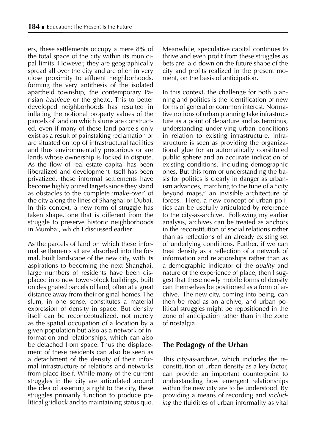ers, these settlements occupy a mere 8% of the total space of the city within its municipal limits. However, they are geographically spread all over the city and are often in very close proximity to affluent neighborhoods, forming the very antithesis of the isolated apartheid township, the contemporary Parisian *banlieue* or the ghetto. This to better developed neighborhoods has resulted in inflating the notional property values of the parcels of land on which slums are constructed, even if many of these land parcels only exist as a result of painstaking reclamation or are situated on top of infrastructural facilities and thus environmentally precarious or are lands whose ownership is locked in dispute. As the flow of real-estate capital has been liberalized and development itself has been privatized, these informal settlements have become highly prized targets since they stand as obstacles to the complete 'make-over' of the city along the lines of Shanghai or Dubai. In this context, a new form of struggle has taken shape, one that is different from the struggle to preserve historic neighborhoods in Mumbai, which I discussed earlier.

As the parcels of land on which these informal settlements sit are absorbed into the formal, built landscape of the new city, with its aspirations to becoming the next Shanghai, large numbers of residents have been displaced into new tower-block buildings, built on designated parcels of land, often at a great distance away from their original homes. The slum, in one sense, constitutes a material expression of density in space. But density itself can be reconceptualized, not merely as the spatial occupation of a location by a given population but also as a network of information and relationships, which can also be detached from space. Thus the displacement of these residents can also be seen as a detachment of the density of their informal infrastructure of relations and networks from place itself. While many of the current struggles in the city are articulated around the idea of asserting a right to the city, these struggles primarily function to produce political gridlock and to maintaining status quo.

Meanwhile, speculative capital continues to thrive and even profit from these struggles as bets are laid down on the future shape of the city and profits realized in the present moment, on the basis of anticipation.

In this context, the challenge for both planning and politics is the identification of new forms of general or common interest. Normative notions of urban planning take infrastructure as a point of departure and as terminus, understanding underlying urban conditions in relation to existing infrastructure. Infrastructure is seen as providing the organizational glue for an automatically constituted public sphere and an accurate indication of existing conditions, including demographic ones. But this form of understanding the basis for politics is clearly in danger as urbanism advances, marching to the tune of a "city beyond maps," an invisible architecture of forces. Here, a new concept of urban politics can be usefully articulated by reference to the city-as-archive. Following my earlier analysis, archives can be treated as anchors in the reconstitution of social relations rather than as reflections of an already existing set of underlying conditions. Further, if we can treat density as a reflection of a network of information and relationships rather than as a demographic indicator of the *quality* and nature of the experience of place, then I suggest that these newly mobile forms of density can themselves be positioned as a form of archive. The new city, coming into being, can then be read as an archive, and urban political struggles might be repositioned in the zone of anticipation rather than in the zone of nostalgia.

## **The Pedagogy of the Urban**

This city-as-archive, which includes the reconstitution of urban density as a key factor, can provide an important counterpoint to understanding how emergent relationships within the new city are to be understood. By providing a means of recording and *including* the fluidities of urban informality as vital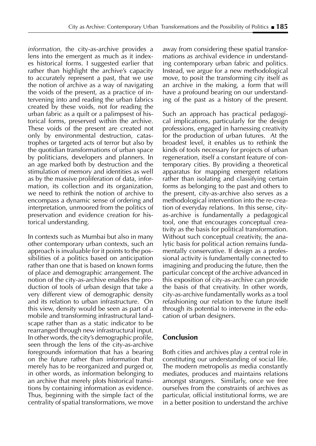*information,* the city-as-archive provides a lens into the emergent as much as it indexes historical forms. I suggested earlier that rather than highlight the archive's capacity to accurately represent a past, that we use the notion of archive as a way of navigating the voids of the present, as a practice of intervening into and reading the urban fabrics created by these voids, not for reading the urban fabric as a quilt or a palimpsest of historical forms, preserved within the archive. These voids of the present are created not only by environmental destruction, catastrophes or targeted acts of terror but also by the quotidian transformations of urban space by politicians, developers and planners. In an age marked both by destruction and the stimulation of memory and identities as well as by the massive proliferation of data, information, its collection and its organization, we need to rethink the notion of archive to encompass a dynamic sense of ordering and interpretation, unmoored from the politics of preservation and evidence creation for historical understanding.

In contexts such as Mumbai but also in many other contemporary urban contexts, such an approach is invaluable for it points to the possibilities of a politics based on anticipation rather than one that is based on known forms of place and demographic arrangement. The notion of the city-as-archive enables the production of tools of urban design that take a very different view of demographic density and its relation to urban infrastructure. On this view, density would be seen as part of a mobile and transforming infrastructural landscape rather than as a static indicator to be rearranged through new infrastructural input. In other words, the city's demographic profile, seen through the lens of the city-as-archive foregrounds information that has a bearing on the future rather than information that merely has to be reorganized and purged or, in other words, as information belonging to an archive that merely plots historical transitions by containing information as evidence. Thus, beginning with the simple fact of the centrality of spatial transformations, we move

away from considering these spatial transformations as archival evidence in understanding contemporary urban fabric and politics. Instead, we argue for a new methodological move, to posit the transforming city itself as an archive in the making, a form that will have a profound bearing on our understanding of the past as a history of the present.

Such an approach has practical pedagogical implications, particularly for the design professions, engaged in harnessing creativity for the production of urban futures. At the broadest level, it enables us to rethink the kinds of tools necessary for projects of urban regeneration, itself a constant feature of contemporary cities. By providing a theoretical apparatus for mapping emergent relations rather than isolating and classifying certain forms as belonging to the past and others to the present, city-as-archive also serves as a methodological intervention into the re-creation of everyday relations. In this sense, cityas-archive is fundamentally a pedagogical tool, one that encourages conceptual creativity as the basis for political transformation. Without such conceptual creativity, the analytic basis for political action remains fundamentally conservative. If design as a professional activity is fundamentally connected to imagining and producing the future, then the particular concept of the archive advanced in this exposition of city-as-archive can provide the basis of that creativity. In other words, city-as-archive fundamentally works as a tool refashioning our relation to the future itself through its potential to intervene in the education of urban designers.

## **Conclusion**

Both cities and archives play a central role in constituting our understanding of social life. The modern metropolis *as* media constantly mediates, produces and maintains relations amongst strangers. Similarly, once we free ourselves from the constraints of archives as particular, official institutional forms, we are in a better position to understand the archive